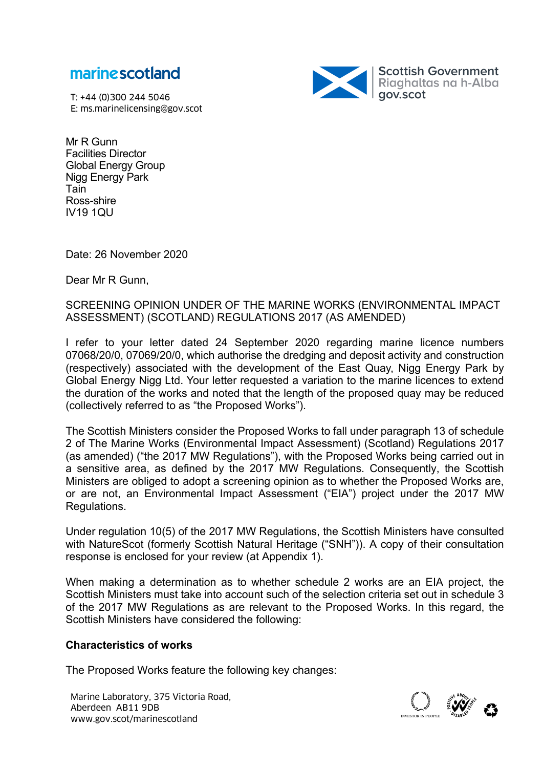

T: +44 (0)300 244 5046 E: ms.marinelicensing@gov.scot



Mr R Gunn Facilities Director Global Energy Group Nigg Energy Park Tain Ross-shire IV19 1QU

Date: 26 November 2020

Dear Mr R Gunn,

SCREENING OPINION UNDER OF THE MARINE WORKS (ENVIRONMENTAL IMPACT ASSESSMENT) (SCOTLAND) REGULATIONS 2017 (AS AMENDED)

I refer to your letter dated 24 September 2020 regarding marine licence numbers 07068/20/0, 07069/20/0, which authorise the dredging and deposit activity and construction (respectively) associated with the development of the East Quay, Nigg Energy Park by Global Energy Nigg Ltd. Your letter requested a variation to the marine licences to extend the duration of the works and noted that the length of the proposed quay may be reduced (collectively referred to as "the Proposed Works").

The Scottish Ministers consider the Proposed Works to fall under paragraph 13 of schedule 2 of The Marine Works (Environmental Impact Assessment) (Scotland) Regulations 2017 (as amended) ("the 2017 MW Regulations"), with the Proposed Works being carried out in a sensitive area, as defined by the 2017 MW Regulations. Consequently, the Scottish Ministers are obliged to adopt a screening opinion as to whether the Proposed Works are, or are not, an Environmental Impact Assessment ("EIA") project under the 2017 MW Regulations.

Under regulation 10(5) of the 2017 MW Regulations, the Scottish Ministers have consulted with NatureScot (formerly Scottish Natural Heritage ("SNH")). A copy of their consultation response is enclosed for your review (at Appendix 1).

When making a determination as to whether schedule 2 works are an EIA project, the Scottish Ministers must take into account such of the selection criteria set out in schedule 3 of the 2017 MW Regulations as are relevant to the Proposed Works. In this regard, the Scottish Ministers have considered the following:

## **Characteristics of works**

The Proposed Works feature the following key changes:

Marine Laboratory, 375 Victoria Road, and the state about the state about the state about the state about the state about the state about the state of the state of the state about the state about the state about the state Aberdeen AB11 9DB

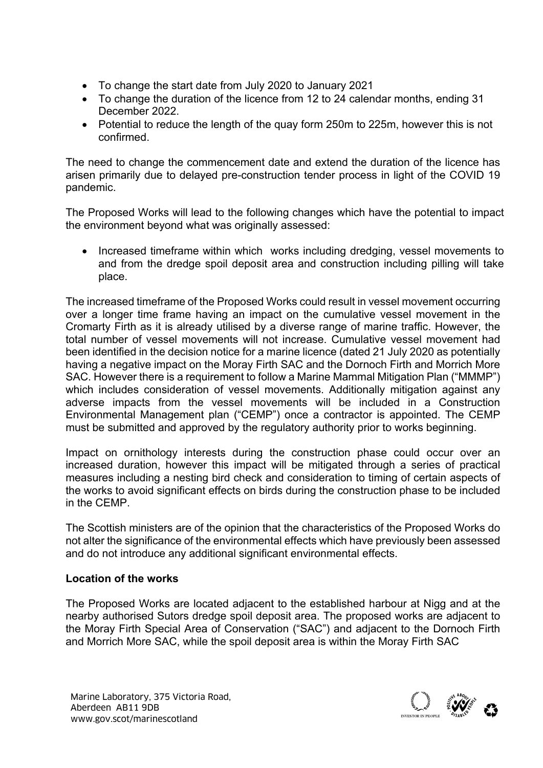- To change the start date from July 2020 to January 2021
- To change the duration of the licence from 12 to 24 calendar months, ending 31 December 2022.
- Potential to reduce the length of the quay form 250m to 225m, however this is not confirmed.

The need to change the commencement date and extend the duration of the licence has arisen primarily due to delayed pre-construction tender process in light of the COVID 19 pandemic.

The Proposed Works will lead to the following changes which have the potential to impact the environment beyond what was originally assessed:

• Increased timeframe within which works including dredging, vessel movements to and from the dredge spoil deposit area and construction including pilling will take place.

The increased timeframe of the Proposed Works could result in vessel movement occurring over a longer time frame having an impact on the cumulative vessel movement in the Cromarty Firth as it is already utilised by a diverse range of marine traffic. However, the total number of vessel movements will not increase. Cumulative vessel movement had been identified in the decision notice for a marine licence (dated 21 July 2020 as potentially having a negative impact on the Moray Firth SAC and the Dornoch Firth and Morrich More SAC. However there is a requirement to follow a Marine Mammal Mitigation Plan ("MMMP") which includes consideration of vessel movements. Additionally mitigation against any adverse impacts from the vessel movements will be included in a Construction Environmental Management plan ("CEMP") once a contractor is appointed. The CEMP must be submitted and approved by the regulatory authority prior to works beginning.

Impact on ornithology interests during the construction phase could occur over an increased duration, however this impact will be mitigated through a series of practical measures including a nesting bird check and consideration to timing of certain aspects of the works to avoid significant effects on birds during the construction phase to be included in the CEMP.

The Scottish ministers are of the opinion that the characteristics of the Proposed Works do not alter the significance of the environmental effects which have previously been assessed and do not introduce any additional significant environmental effects.

## **Location of the works**

The Proposed Works are located adjacent to the established harbour at Nigg and at the nearby authorised Sutors dredge spoil deposit area. The proposed works are adjacent to the Moray Firth Special Area of Conservation ("SAC") and adjacent to the Dornoch Firth and Morrich More SAC, while the spoil deposit area is within the Moray Firth SAC